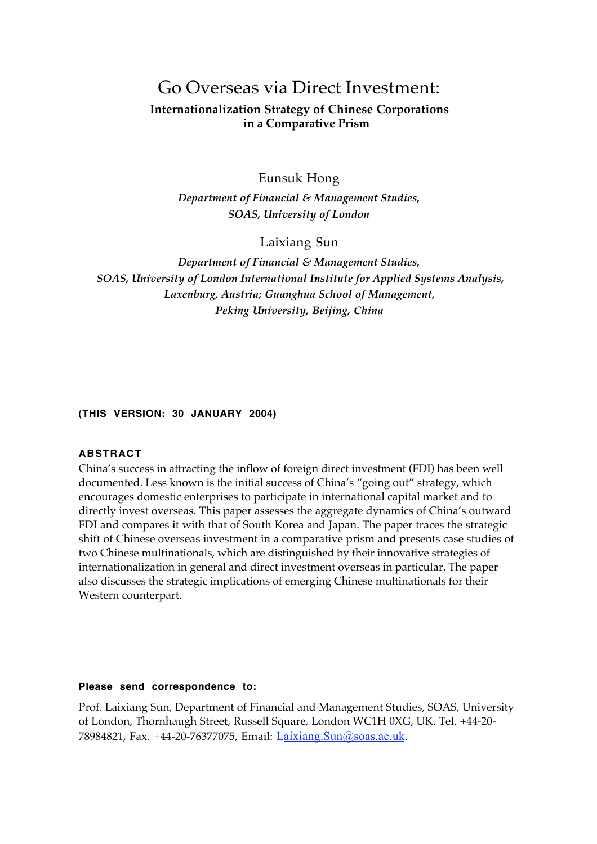# Go Overseas via Direct Investment:

# **Internationalization Strategy of Chinese Corporations in a Comparative Prism**

# Eunsuk Hong *Department of Financial & Management Studies, SOAS, University of London*

# Laixiang Sun

*Department of Financial & Management Studies, SOAS, University of London International Institute for Applied Systems Analysis, Laxenburg, Austria; Guanghua School of Management, Peking University, Beijing, China*

**(THIS VERSION: 30 JANUARY 2004)**

#### **ABSTRACT**

China's success in attracting the inflow of foreign direct investment (FDI) has been well documented. Less known is the initial success of China's "going out" strategy, which encourages domestic enterprises to participate in international capital market and to directly invest overseas. This paper assesses the aggregate dynamics of China's outward FDI and compares it with that of South Korea and Japan. The paper traces the strategic shift of Chinese overseas investment in a comparative prism and presents case studies of two Chinese multinationals, which are distinguished by their innovative strategies of internationalization in general and direct investment overseas in particular. The paper also discusses the strategic implications of emerging Chinese multinationals for their Western counterpart.

#### **Please send correspondence to:**

Prof. Laixiang Sun, Department of Financial and Management Studies, SOAS, University of London, Thornhaugh Street, Russell Square, London WC1H 0XG, UK. Tel. +44-20- 78984821, Fax. +44-20-76377075, Email: Laixiang.Sun@soas.ac.uk.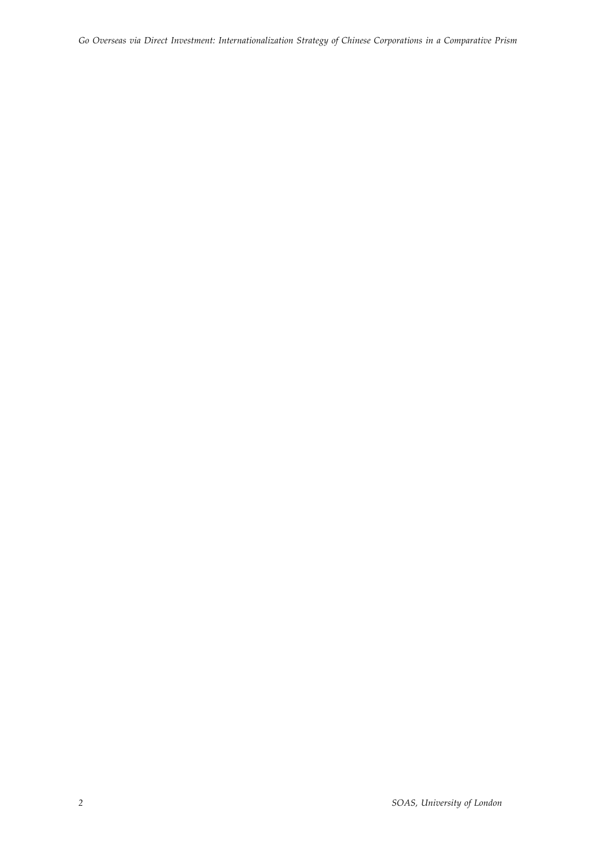*Go Overseas via Direct Investment: Internationalization Strategy of Chinese Corporations in a Comparative Prism*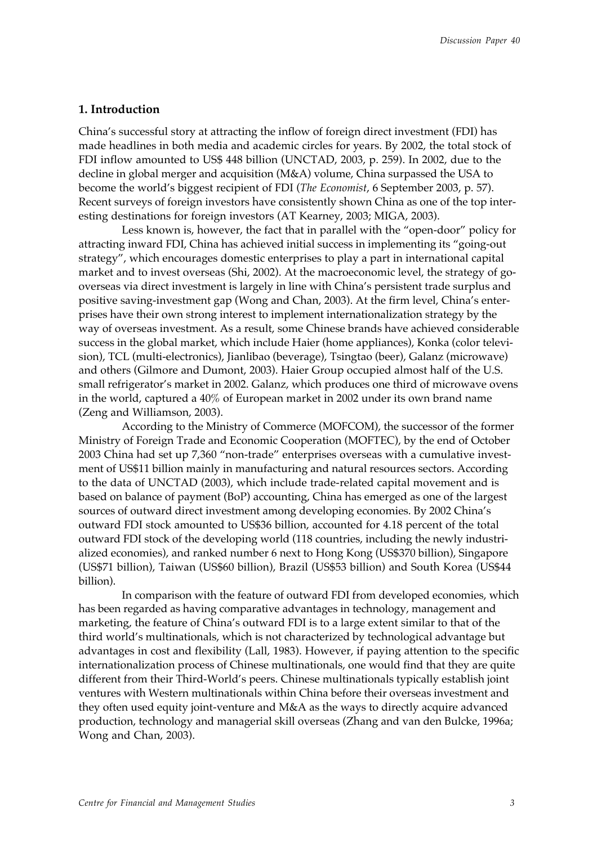#### **1. Introduction**

China's successful story at attracting the inflow of foreign direct investment (FDI) has made headlines in both media and academic circles for years. By 2002, the total stock of FDI inflow amounted to US\$ 448 billion (UNCTAD, 2003, p. 259). In 2002, due to the decline in global merger and acquisition (M&A) volume, China surpassed the USA to become the world's biggest recipient of FDI (*The Economist*, 6 September 2003, p. 57). Recent surveys of foreign investors have consistently shown China as one of the top interesting destinations for foreign investors (AT Kearney, 2003; MIGA, 2003).

Less known is, however, the fact that in parallel with the "open-door" policy for attracting inward FDI, China has achieved initial success in implementing its "going-out strategy", which encourages domestic enterprises to play a part in international capital market and to invest overseas (Shi, 2002). At the macroeconomic level, the strategy of gooverseas via direct investment is largely in line with China's persistent trade surplus and positive saving-investment gap (Wong and Chan, 2003). At the firm level, China's enterprises have their own strong interest to implement internationalization strategy by the way of overseas investment. As a result, some Chinese brands have achieved considerable success in the global market, which include Haier (home appliances), Konka (color television), TCL (multi-electronics), Jianlibao (beverage), Tsingtao (beer), Galanz (microwave) and others (Gilmore and Dumont, 2003). Haier Group occupied almost half of the U.S. small refrigerator's market in 2002. Galanz, which produces one third of microwave ovens in the world, captured a 40% of European market in 2002 under its own brand name (Zeng and Williamson, 2003).

According to the Ministry of Commerce (MOFCOM), the successor of the former Ministry of Foreign Trade and Economic Cooperation (MOFTEC), by the end of October 2003 China had set up 7,360 "non-trade" enterprises overseas with a cumulative investment of US\$11 billion mainly in manufacturing and natural resources sectors. According to the data of UNCTAD (2003), which include trade-related capital movement and is based on balance of payment (BoP) accounting, China has emerged as one of the largest sources of outward direct investment among developing economies. By 2002 China's outward FDI stock amounted to US\$36 billion, accounted for 4.18 percent of the total outward FDI stock of the developing world (118 countries, including the newly industrialized economies), and ranked number 6 next to Hong Kong (US\$370 billion), Singapore (US\$71 billion), Taiwan (US\$60 billion), Brazil (US\$53 billion) and South Korea (US\$44 billion).

In comparison with the feature of outward FDI from developed economies, which has been regarded as having comparative advantages in technology, management and marketing, the feature of China's outward FDI is to a large extent similar to that of the third world's multinationals, which is not characterized by technological advantage but advantages in cost and flexibility (Lall, 1983). However, if paying attention to the specific internationalization process of Chinese multinationals, one would find that they are quite different from their Third-World's peers. Chinese multinationals typically establish joint ventures with Western multinationals within China before their overseas investment and they often used equity joint-venture and M&A as the ways to directly acquire advanced production, technology and managerial skill overseas (Zhang and van den Bulcke, 1996a; Wong and Chan, 2003).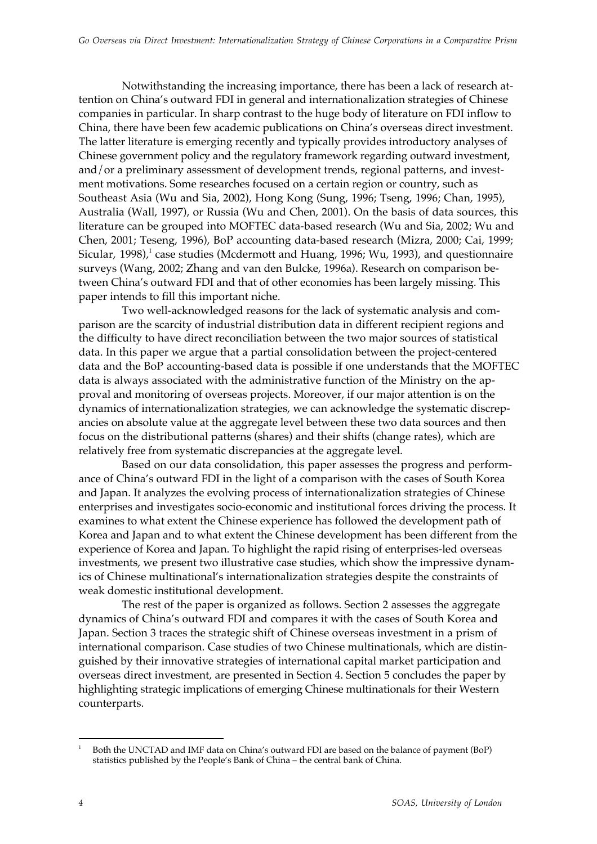Notwithstanding the increasing importance, there has been a lack of research attention on China's outward FDI in general and internationalization strategies of Chinese companies in particular. In sharp contrast to the huge body of literature on FDI inflow to China, there have been few academic publications on China's overseas direct investment. The latter literature is emerging recently and typically provides introductory analyses of Chinese government policy and the regulatory framework regarding outward investment, and/or a preliminary assessment of development trends, regional patterns, and investment motivations. Some researches focused on a certain region or country, such as Southeast Asia (Wu and Sia, 2002), Hong Kong (Sung, 1996; Tseng, 1996; Chan, 1995), Australia (Wall, 1997), or Russia (Wu and Chen, 2001). On the basis of data sources, this literature can be grouped into MOFTEC data-based research (Wu and Sia, 2002; Wu and Chen, 2001; Teseng, 1996), BoP accounting data-based research (Mizra, 2000; Cai, 1999; Sicular, 1998), $^1$  case studies (Mcdermott and Huang, 1996; Wu, 1993), and questionnaire surveys (Wang, 2002; Zhang and van den Bulcke, 1996a). Research on comparison between China's outward FDI and that of other economies has been largely missing. This paper intends to fill this important niche.

Two well-acknowledged reasons for the lack of systematic analysis and comparison are the scarcity of industrial distribution data in different recipient regions and the difficulty to have direct reconciliation between the two major sources of statistical data. In this paper we argue that a partial consolidation between the project-centered data and the BoP accounting-based data is possible if one understands that the MOFTEC data is always associated with the administrative function of the Ministry on the approval and monitoring of overseas projects. Moreover, if our major attention is on the dynamics of internationalization strategies, we can acknowledge the systematic discrepancies on absolute value at the aggregate level between these two data sources and then focus on the distributional patterns (shares) and their shifts (change rates), which are relatively free from systematic discrepancies at the aggregate level.

Based on our data consolidation, this paper assesses the progress and performance of China's outward FDI in the light of a comparison with the cases of South Korea and Japan. It analyzes the evolving process of internationalization strategies of Chinese enterprises and investigates socio-economic and institutional forces driving the process. It examines to what extent the Chinese experience has followed the development path of Korea and Japan and to what extent the Chinese development has been different from the experience of Korea and Japan. To highlight the rapid rising of enterprises-led overseas investments, we present two illustrative case studies, which show the impressive dynamics of Chinese multinational's internationalization strategies despite the constraints of weak domestic institutional development.

The rest of the paper is organized as follows. Section 2 assesses the aggregate dynamics of China's outward FDI and compares it with the cases of South Korea and Japan. Section 3 traces the strategic shift of Chinese overseas investment in a prism of international comparison. Case studies of two Chinese multinationals, which are distinguished by their innovative strategies of international capital market participation and overseas direct investment, are presented in Section 4. Section 5 concludes the paper by highlighting strategic implications of emerging Chinese multinationals for their Western counterparts.

<sup>1</sup> Both the UNCTAD and IMF data on China's outward FDI are based on the balance of payment (BoP) statistics published by the People's Bank of China – the central bank of China.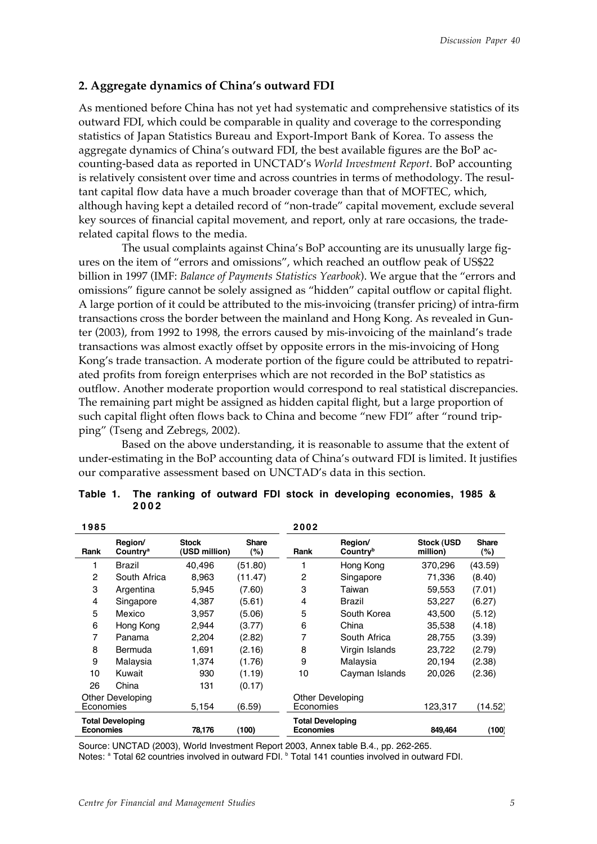#### **2. Aggregate dynamics of China's outward FDI**

As mentioned before China has not yet had systematic and comprehensive statistics of its outward FDI, which could be comparable in quality and coverage to the corresponding statistics of Japan Statistics Bureau and Export-Import Bank of Korea. To assess the aggregate dynamics of China's outward FDI, the best available figures are the BoP accounting-based data as reported in UNCTAD's *World Investment Report*. BoP accounting is relatively consistent over time and across countries in terms of methodology. The resultant capital flow data have a much broader coverage than that of MOFTEC, which, although having kept a detailed record of "non-trade" capital movement, exclude several key sources of financial capital movement, and report, only at rare occasions, the traderelated capital flows to the media.

The usual complaints against China's BoP accounting are its unusually large figures on the item of "errors and omissions", which reached an outflow peak of US\$22 billion in 1997 (IMF: *Balance of Payments Statistics Yearbook*). We argue that the "errors and omissions" figure cannot be solely assigned as "hidden" capital outflow or capital flight. A large portion of it could be attributed to the mis-invoicing (transfer pricing) of intra-firm transactions cross the border between the mainland and Hong Kong. As revealed in Gunter (2003), from 1992 to 1998, the errors caused by mis-invoicing of the mainland's trade transactions was almost exactly offset by opposite errors in the mis-invoicing of Hong Kong's trade transaction. A moderate portion of the figure could be attributed to repatriated profits from foreign enterprises which are not recorded in the BoP statistics as outflow. Another moderate proportion would correspond to real statistical discrepancies. The remaining part might be assigned as hidden capital flight, but a large proportion of such capital flight often flows back to China and become "new FDI" after "round tripping" (Tseng and Zebregs, 2002).

Based on the above understanding, it is reasonable to assume that the extent of under-estimating in the BoP accounting data of China's outward FDI is limited. It justifies our comparative assessment based on UNCTAD's data in this section.

| 1985             |                                 |                               |                     | 2002                                        |                     |                                |                     |
|------------------|---------------------------------|-------------------------------|---------------------|---------------------------------------------|---------------------|--------------------------------|---------------------|
| Rank             | Region/<br>Country <sup>a</sup> | <b>Stock</b><br>(USD million) | <b>Share</b><br>(%) | Rank                                        | Region/<br>Countryb | <b>Stock (USD)</b><br>million) | <b>Share</b><br>(%) |
| 1                | Brazil                          | 40,496                        | (51.80)             |                                             | Hong Kong           | 370,296                        | (43.59)             |
| $\overline{c}$   | South Africa                    | 8,963                         | (11.47)             | $\overline{c}$                              | Singapore           | 71,336                         | (8.40)              |
| 3                | Argentina                       | 5,945                         | (7.60)              | 3                                           | Taiwan              | 59,553                         | (7.01)              |
| $\overline{4}$   | Singapore                       | 4,387                         | (5.61)              | 4                                           | Brazil              | 53,227                         | (6.27)              |
| 5                | Mexico                          | 3,957                         | (5.06)              | 5                                           | South Korea         | 43,500                         | (5.12)              |
| 6                | Hong Kong                       | 2,944                         | (3.77)              | 6                                           | China               | 35,538                         | (4.18)              |
| 7                | Panama                          | 2,204                         | (2.82)              | 7                                           | South Africa        | 28,755                         | (3.39)              |
| 8                | Bermuda                         | 1,691                         | (2.16)              | 8                                           | Virgin Islands      | 23,722                         | (2.79)              |
| 9                | Malaysia                        | 1,374                         | (1.76)              | 9                                           | Malaysia            | 20,194                         | (2.38)              |
| 10               | Kuwait                          | 930                           | (1.19)              | 10                                          | Cayman Islands      | 20,026                         | (2.36)              |
| 26               | China                           | 131                           | (0.17)              |                                             |                     |                                |                     |
| Other Developing |                                 |                               |                     | Other Developing                            | 123,317             |                                |                     |
| Economies        |                                 | 5,154                         | (6.59)              |                                             | Economies           |                                | (14.52)             |
| <b>Economies</b> | <b>Total Developing</b>         | 78,176                        | (100)               | <b>Total Developing</b><br><b>Economies</b> |                     | 849,464                        | (100)               |

| Table 1. The ranking of outward FDI stock in developing economies, 1985 & |  |  |  |  |
|---------------------------------------------------------------------------|--|--|--|--|
| 2002                                                                      |  |  |  |  |

Source: UNCTAD (2003), World Investment Report 2003, Annex table B.4., pp. 262-265.

Notes: <sup>a</sup> Total 62 countries involved in outward FDI. <sup>b</sup> Total 141 counties involved in outward FDI.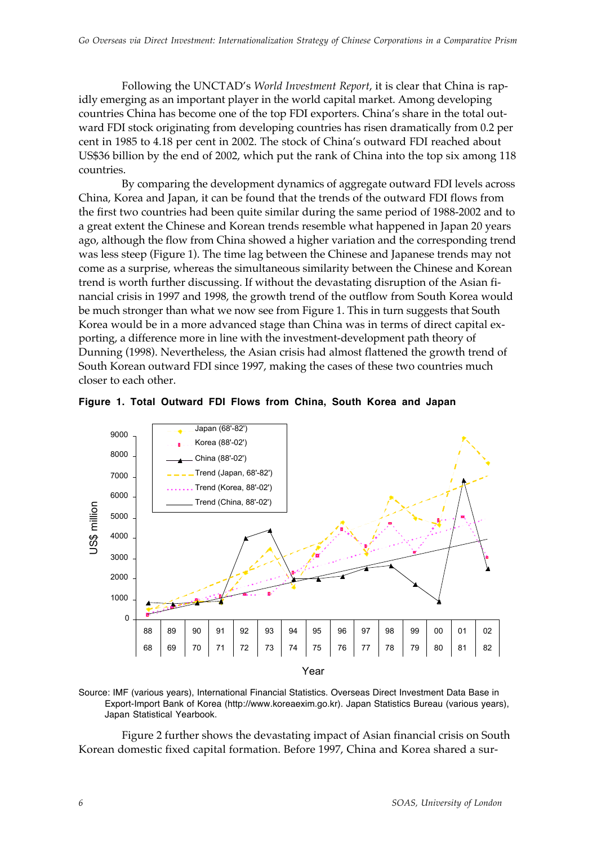Following the UNCTAD's *World Investment Report*, it is clear that China is rapidly emerging as an important player in the world capital market. Among developing countries China has become one of the top FDI exporters. China's share in the total outward FDI stock originating from developing countries has risen dramatically from 0.2 per cent in 1985 to 4.18 per cent in 2002. The stock of China's outward FDI reached about US\$36 billion by the end of 2002, which put the rank of China into the top six among 118 countries.

By comparing the development dynamics of aggregate outward FDI levels across China, Korea and Japan, it can be found that the trends of the outward FDI flows from the first two countries had been quite similar during the same period of 1988-2002 and to a great extent the Chinese and Korean trends resemble what happened in Japan 20 years ago, although the flow from China showed a higher variation and the corresponding trend was less steep (Figure 1). The time lag between the Chinese and Japanese trends may not come as a surprise, whereas the simultaneous similarity between the Chinese and Korean trend is worth further discussing. If without the devastating disruption of the Asian financial crisis in 1997 and 1998, the growth trend of the outflow from South Korea would be much stronger than what we now see from Figure 1. This in turn suggests that South Korea would be in a more advanced stage than China was in terms of direct capital exporting, a difference more in line with the investment-development path theory of Dunning (1998). Nevertheless, the Asian crisis had almost flattened the growth trend of South Korean outward FDI since 1997, making the cases of these two countries much closer to each other.





Source: IMF (various years), International Financial Statistics. Overseas Direct Investment Data Base in Export-Import Bank of Korea (http://www.koreaexim.go.kr). Japan Statistics Bureau (various years), Japan Statistical Yearbook.

Figure 2 further shows the devastating impact of Asian financial crisis on South Korean domestic fixed capital formation. Before 1997, China and Korea shared a sur-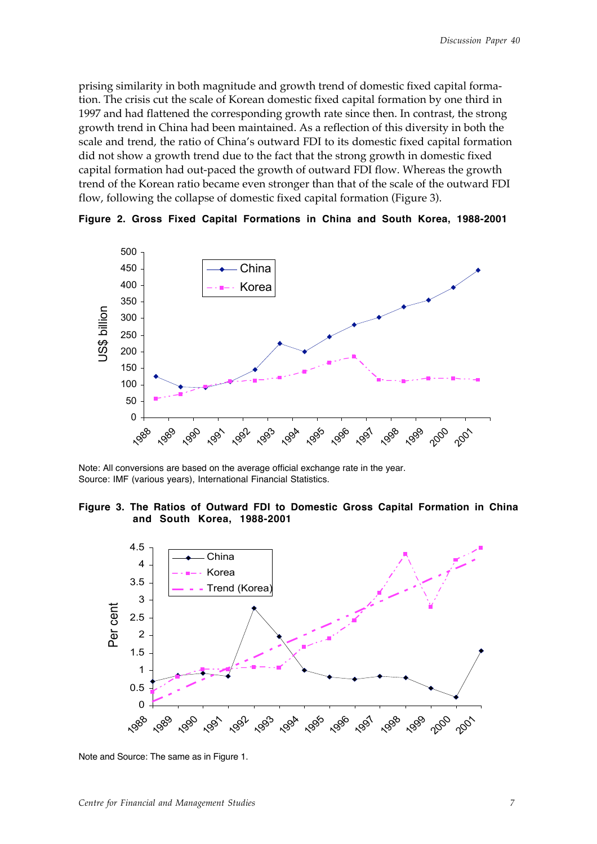prising similarity in both magnitude and growth trend of domestic fixed capital formation. The crisis cut the scale of Korean domestic fixed capital formation by one third in 1997 and had flattened the corresponding growth rate since then. In contrast, the strong growth trend in China had been maintained. As a reflection of this diversity in both the scale and trend, the ratio of China's outward FDI to its domestic fixed capital formation did not show a growth trend due to the fact that the strong growth in domestic fixed capital formation had out-paced the growth of outward FDI flow. Whereas the growth trend of the Korean ratio became even stronger than that of the scale of the outward FDI flow, following the collapse of domestic fixed capital formation (Figure 3).

**Figure 2. Gross Fixed Capital Formations in China and South Korea, 1988-2001**



Note: All conversions are based on the average official exchange rate in the year. Source: IMF (various years), International Financial Statistics.

**Figure 3. The Ratios of Outward FDI to Domestic Gross Capital Formation in China and South Korea, 1988-2001**



Note and Source: The same as in Figure 1.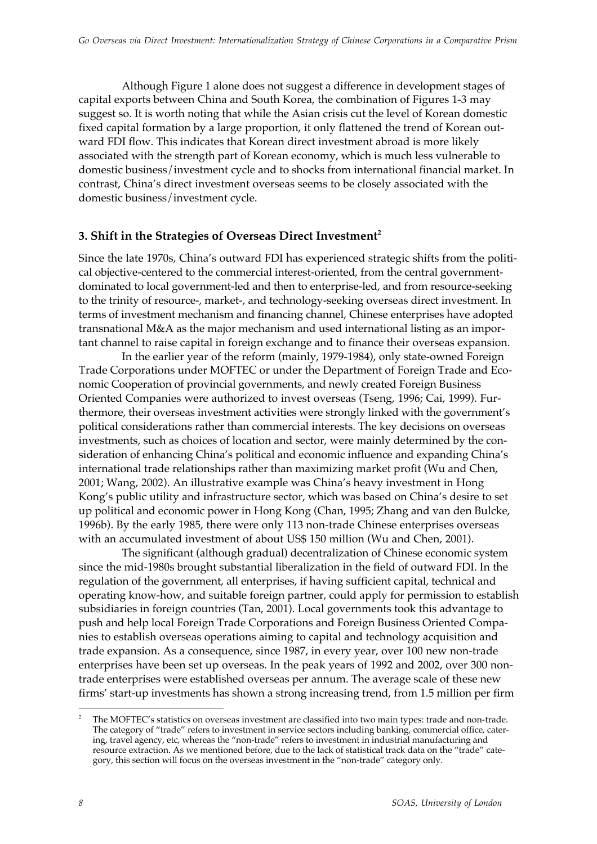Although Figure 1 alone does not suggest a difference in development stages of capital exports between China and South Korea, the combination of Figures 1-3 may suggest so. It is worth noting that while the Asian crisis cut the level of Korean domestic fixed capital formation by a large proportion, it only flattened the trend of Korean outward FDI flow. This indicates that Korean direct investment abroad is more likely associated with the strength part of Korean economy, which is much less vulnerable to domestic business/investment cycle and to shocks from international financial market. In contrast, China's direct investment overseas seems to be closely associated with the domestic business/investment cycle.

# **3. Shift in the Strategies of Overseas Direct Investment2**

Since the late 1970s, China's outward FDI has experienced strategic shifts from the political objective-centered to the commercial interest-oriented, from the central governmentdominated to local government-led and then to enterprise-led, and from resource-seeking to the trinity of resource-, market-, and technology-seeking overseas direct investment. In terms of investment mechanism and financing channel, Chinese enterprises have adopted transnational M&A as the major mechanism and used international listing as an important channel to raise capital in foreign exchange and to finance their overseas expansion.

In the earlier year of the reform (mainly, 1979-1984), only state-owned Foreign Trade Corporations under MOFTEC or under the Department of Foreign Trade and Economic Cooperation of provincial governments, and newly created Foreign Business Oriented Companies were authorized to invest overseas (Tseng, 1996; Cai, 1999). Furthermore, their overseas investment activities were strongly linked with the government's political considerations rather than commercial interests. The key decisions on overseas investments, such as choices of location and sector, were mainly determined by the consideration of enhancing China's political and economic influence and expanding China's international trade relationships rather than maximizing market profit (Wu and Chen, 2001; Wang, 2002). An illustrative example was China's heavy investment in Hong Kong's public utility and infrastructure sector, which was based on China's desire to set up political and economic power in Hong Kong (Chan, 1995; Zhang and van den Bulcke, 1996b). By the early 1985, there were only 113 non-trade Chinese enterprises overseas with an accumulated investment of about US\$ 150 million (Wu and Chen, 2001).

The significant (although gradual) decentralization of Chinese economic system since the mid-1980s brought substantial liberalization in the field of outward FDI. In the regulation of the government, all enterprises, if having sufficient capital, technical and operating know-how, and suitable foreign partner, could apply for permission to establish subsidiaries in foreign countries (Tan, 2001). Local governments took this advantage to push and help local Foreign Trade Corporations and Foreign Business Oriented Companies to establish overseas operations aiming to capital and technology acquisition and trade expansion. As a consequence, since 1987, in every year, over 100 new non-trade enterprises have been set up overseas. In the peak years of 1992 and 2002, over 300 nontrade enterprises were established overseas per annum. The average scale of these new firms' start-up investments has shown a strong increasing trend, from 1.5 million per firm

<sup>2</sup> The MOFTEC's statistics on overseas investment are classified into two main types: trade and non-trade. The category of "trade" refers to investment in service sectors including banking, commercial office, catering, travel agency, etc, whereas the "non-trade" refers to investment in industrial manufacturing and resource extraction. As we mentioned before, due to the lack of statistical track data on the "trade" category, this section will focus on the overseas investment in the "non-trade" category only.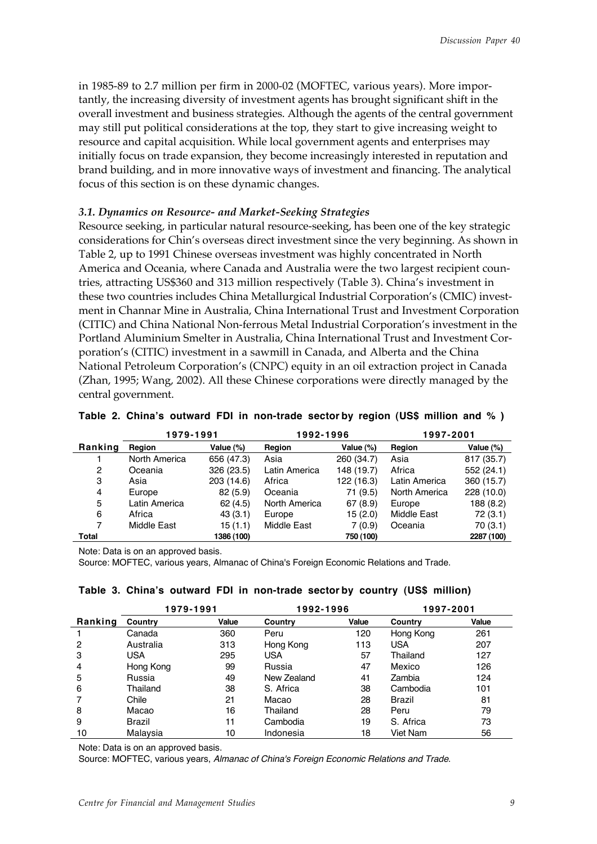in 1985-89 to 2.7 million per firm in 2000-02 (MOFTEC, various years). More importantly, the increasing diversity of investment agents has brought significant shift in the overall investment and business strategies. Although the agents of the central government may still put political considerations at the top, they start to give increasing weight to resource and capital acquisition. While local government agents and enterprises may initially focus on trade expansion, they become increasingly interested in reputation and brand building, and in more innovative ways of investment and financing. The analytical focus of this section is on these dynamic changes.

#### *3.1. Dynamics on Resource- and Market-Seeking Strategies*

Resource seeking, in particular natural resource-seeking, has been one of the key strategic considerations for Chin's overseas direct investment since the very beginning. As shown in Table 2, up to 1991 Chinese overseas investment was highly concentrated in North America and Oceania, where Canada and Australia were the two largest recipient countries, attracting US\$360 and 313 million respectively (Table 3). China's investment in these two countries includes China Metallurgical Industrial Corporation's (CMIC) investment in Channar Mine in Australia, China International Trust and Investment Corporation (CITIC) and China National Non-ferrous Metal Industrial Corporation's investment in the Portland Aluminium Smelter in Australia, China International Trust and Investment Corporation's (CITIC) investment in a sawmill in Canada, and Alberta and the China National Petroleum Corporation's (CNPC) equity in an oil extraction project in Canada (Zhan, 1995; Wang, 2002). All these Chinese corporations were directly managed by the central government.

|         | 1979-1991     |            | 1992-1996     |            | 1997-2001     |            |
|---------|---------------|------------|---------------|------------|---------------|------------|
| Ranking | Region        | Value (%)  | Region        | Value (%)  | Region        | Value (%)  |
|         | North America | 656 (47.3) | Asia          | 260 (34.7) | Asia          | 817 (35.7) |
| 2       | Oceania       | 326 (23.5) | Latin America | 148 (19.7) | Africa        | 552 (24.1) |
| 3       | Asia          | 203 (14.6) | Africa        | 122 (16.3) | Latin America | 360 (15.7) |
| 4       | Europe        | 82(5.9)    | Oceania       | 71 (9.5)   | North America | 228 (10.0) |
| 5       | Latin America | 62(4.5)    | North America | 67(8.9)    | Europe        | 188 (8.2)  |
| 6       | Africa        | 43(3.1)    | Europe        | 15(2.0)    | Middle East   | 72(3.1)    |
| 7       | Middle East   | 15(1.1)    | Middle East   | 7(0.9)     | Oceania       | 70(3.1)    |
| Total   |               | 1386 (100) |               | 750 (100)  |               | 2287 (100) |

**Table 2. China's outward FDI in non-trade sector by region (US\$ million and % )**

Note: Data is on an approved basis.

Source: MOFTEC, various years, Almanac of China's Foreign Economic Relations and Trade.

|  |  |  |  |  | Table 3. China's outward FDI in non-trade sector by country (US\$ million) |  |  |  |  |
|--|--|--|--|--|----------------------------------------------------------------------------|--|--|--|--|
|--|--|--|--|--|----------------------------------------------------------------------------|--|--|--|--|

|         | 1979-1991  |       | 1992-1996   |       | 1997-2001     |       |
|---------|------------|-------|-------------|-------|---------------|-------|
| Ranking | Country    | Value | Country     | Value | Country       | Value |
|         | Canada     | 360   | Peru        | 120   | Hong Kong     | 261   |
| 2       | Australia  | 313   | Hong Kong   | 113   | <b>USA</b>    | 207   |
| 3       | <b>USA</b> | 295   | <b>USA</b>  | 57    | Thailand      | 127   |
| 4       | Hong Kong  | 99    | Russia      | 47    | Mexico        | 126   |
| 5       | Russia     | 49    | New Zealand | 41    | Zambia        | 124   |
| 6       | Thailand   | 38    | S. Africa   | 38    | Cambodia      | 101   |
|         | Chile      | 21    | Macao       | 28    | <b>Brazil</b> | 81    |
| 8       | Macao      | 16    | Thailand    | 28    | Peru          | 79    |
| 9       | Brazil     | 11    | Cambodia    | 19    | S. Africa     | 73    |
| 10      | Malaysia   | 10    | Indonesia   | 18    | Viet Nam      | 56    |

Note: Data is on an approved basis.

Source: MOFTEC, various years, Almanac of China's Foreign Economic Relations and Trade.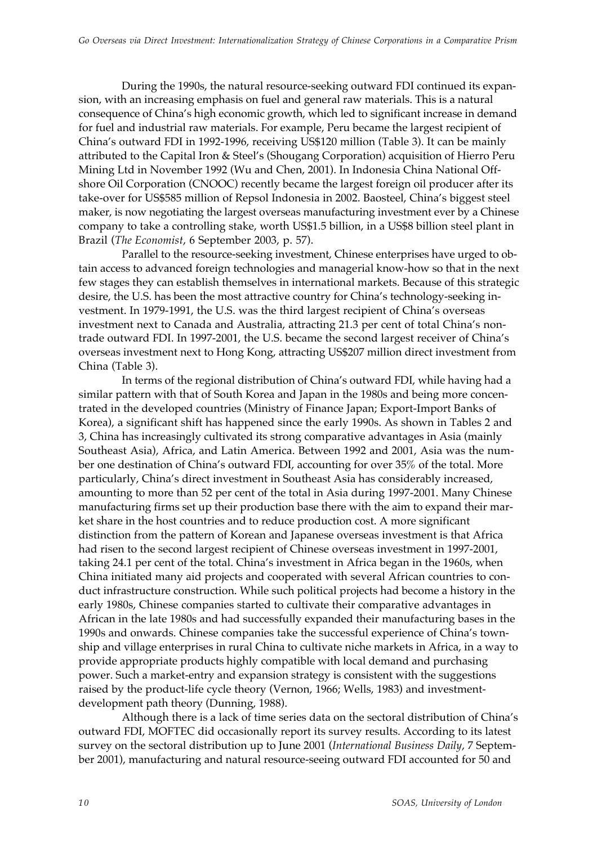During the 1990s, the natural resource-seeking outward FDI continued its expansion, with an increasing emphasis on fuel and general raw materials. This is a natural consequence of China's high economic growth, which led to significant increase in demand for fuel and industrial raw materials. For example, Peru became the largest recipient of China's outward FDI in 1992-1996, receiving US\$120 million (Table 3). It can be mainly attributed to the Capital Iron & Steel's (Shougang Corporation) acquisition of Hierro Peru Mining Ltd in November 1992 (Wu and Chen, 2001). In Indonesia China National Offshore Oil Corporation (CNOOC) recently became the largest foreign oil producer after its take-over for US\$585 million of Repsol Indonesia in 2002. Baosteel, China's biggest steel maker, is now negotiating the largest overseas manufacturing investment ever by a Chinese company to take a controlling stake, worth US\$1.5 billion, in a US\$8 billion steel plant in Brazil (*The Economist*, 6 September 2003, p. 57).

Parallel to the resource-seeking investment, Chinese enterprises have urged to obtain access to advanced foreign technologies and managerial know-how so that in the next few stages they can establish themselves in international markets. Because of this strategic desire, the U.S. has been the most attractive country for China's technology-seeking investment. In 1979-1991, the U.S. was the third largest recipient of China's overseas investment next to Canada and Australia, attracting 21.3 per cent of total China's nontrade outward FDI. In 1997-2001, the U.S. became the second largest receiver of China's overseas investment next to Hong Kong, attracting US\$207 million direct investment from China (Table 3).

In terms of the regional distribution of China's outward FDI, while having had a similar pattern with that of South Korea and Japan in the 1980s and being more concentrated in the developed countries (Ministry of Finance Japan; Export-Import Banks of Korea), a significant shift has happened since the early 1990s. As shown in Tables 2 and 3, China has increasingly cultivated its strong comparative advantages in Asia (mainly Southeast Asia), Africa, and Latin America. Between 1992 and 2001, Asia was the number one destination of China's outward FDI, accounting for over 35% of the total. More particularly, China's direct investment in Southeast Asia has considerably increased, amounting to more than 52 per cent of the total in Asia during 1997-2001. Many Chinese manufacturing firms set up their production base there with the aim to expand their market share in the host countries and to reduce production cost. A more significant distinction from the pattern of Korean and Japanese overseas investment is that Africa had risen to the second largest recipient of Chinese overseas investment in 1997-2001, taking 24.1 per cent of the total. China's investment in Africa began in the 1960s, when China initiated many aid projects and cooperated with several African countries to conduct infrastructure construction. While such political projects had become a history in the early 1980s, Chinese companies started to cultivate their comparative advantages in African in the late 1980s and had successfully expanded their manufacturing bases in the 1990s and onwards. Chinese companies take the successful experience of China's township and village enterprises in rural China to cultivate niche markets in Africa, in a way to provide appropriate products highly compatible with local demand and purchasing power. Such a market-entry and expansion strategy is consistent with the suggestions raised by the product-life cycle theory (Vernon, 1966; Wells, 1983) and investmentdevelopment path theory (Dunning, 1988).

Although there is a lack of time series data on the sectoral distribution of China's outward FDI, MOFTEC did occasionally report its survey results. According to its latest survey on the sectoral distribution up to June 2001 (*International Business Daily*, 7 September 2001), manufacturing and natural resource-seeing outward FDI accounted for 50 and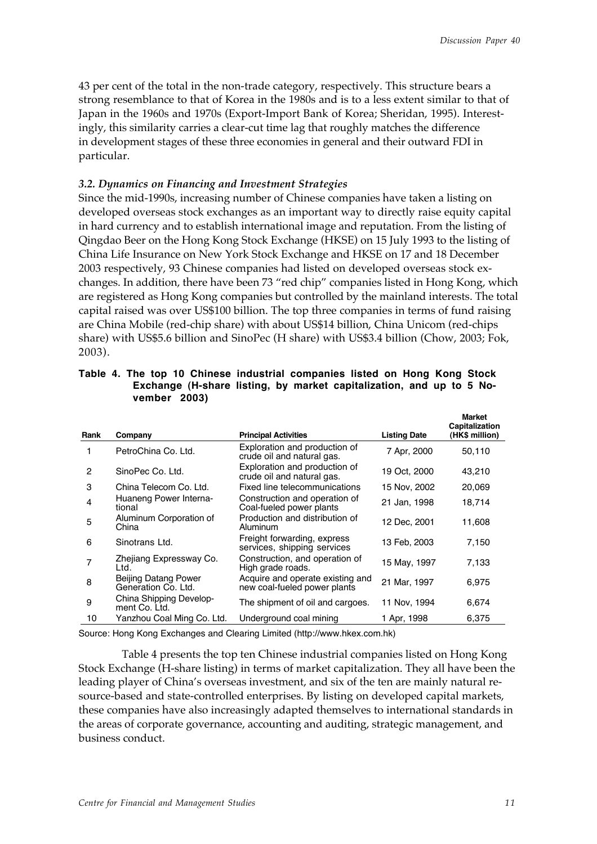43 per cent of the total in the non-trade category, respectively. This structure bears a strong resemblance to that of Korea in the 1980s and is to a less extent similar to that of Japan in the 1960s and 1970s (Export-Import Bank of Korea; Sheridan, 1995). Interestingly, this similarity carries a clear-cut time lag that roughly matches the difference in development stages of these three economies in general and their outward FDI in particular.

#### *3.2. Dynamics on Financing and Investment Strategies*

Since the mid-1990s, increasing number of Chinese companies have taken a listing on developed overseas stock exchanges as an important way to directly raise equity capital in hard currency and to establish international image and reputation. From the listing of Qingdao Beer on the Hong Kong Stock Exchange (HKSE) on 15 July 1993 to the listing of China Life Insurance on New York Stock Exchange and HKSE on 17 and 18 December 2003 respectively, 93 Chinese companies had listed on developed overseas stock exchanges. In addition, there have been 73 "red chip" companies listed in Hong Kong, which are registered as Hong Kong companies but controlled by the mainland interests. The total capital raised was over US\$100 billion. The top three companies in terms of fund raising are China Mobile (red-chip share) with about US\$14 billion, China Unicom (red-chips share) with US\$5.6 billion and SinoPec (H share) with US\$3.4 billion (Chow, 2003; Fok, 2003).

|      |                                                    |                                                                  |                     | <b>Market</b><br>Capitalization |
|------|----------------------------------------------------|------------------------------------------------------------------|---------------------|---------------------------------|
| Rank | Company                                            | <b>Principal Activities</b>                                      | <b>Listing Date</b> | (HK\$ million)                  |
| 1    | PetroChina Co. Ltd.                                | Exploration and production of<br>crude oil and natural gas.      | 7 Apr. 2000         | 50,110                          |
| 2    | SinoPec Co. Ltd.                                   | Exploration and production of<br>crude oil and natural gas.      | 19 Oct, 2000        | 43,210                          |
| 3    | China Telecom Co. Ltd.                             | Fixed line telecommunications                                    | 15 Nov, 2002        | 20,069                          |
| 4    | Huaneng Power Interna-<br>tional                   | Construction and operation of<br>Coal-fueled power plants        | 21 Jan, 1998        | 18,714                          |
| 5    | Aluminum Corporation of<br>China                   | Production and distribution of<br>Aluminum                       | 12 Dec, 2001        | 11,608                          |
| 6    | Sinotrans Ltd.                                     | Freight forwarding, express<br>services, shipping services       | 13 Feb, 2003        | 7,150                           |
| 7    | Zhejiang Expressway Co.<br>Ltd.                    | Construction, and operation of<br>High grade roads.              | 15 May, 1997        | 7,133                           |
| 8    | <b>Beijing Datang Power</b><br>Generation Co. Ltd. | Acquire and operate existing and<br>new coal-fueled power plants | 21 Mar, 1997        | 6,975                           |
| 9    | China Shipping Develop-<br>ment Co. Ltd.           | The shipment of oil and cargoes.                                 | 11 Nov. 1994        | 6,674                           |
| 10   | Yanzhou Coal Ming Co. Ltd.                         | Underground coal mining                                          | 1 Apr. 1998         | 6,375                           |

#### **Table 4. The top 10 Chinese industrial companies listed on Hong Kong Stock Exchange (H-share listing, by market capitalization, and up to 5 November 2003)**

Source: Hong Kong Exchanges and Clearing Limited (http://www.hkex.com.hk)

Table 4 presents the top ten Chinese industrial companies listed on Hong Kong Stock Exchange (H-share listing) in terms of market capitalization. They all have been the leading player of China's overseas investment, and six of the ten are mainly natural resource-based and state-controlled enterprises. By listing on developed capital markets, these companies have also increasingly adapted themselves to international standards in the areas of corporate governance, accounting and auditing, strategic management, and business conduct.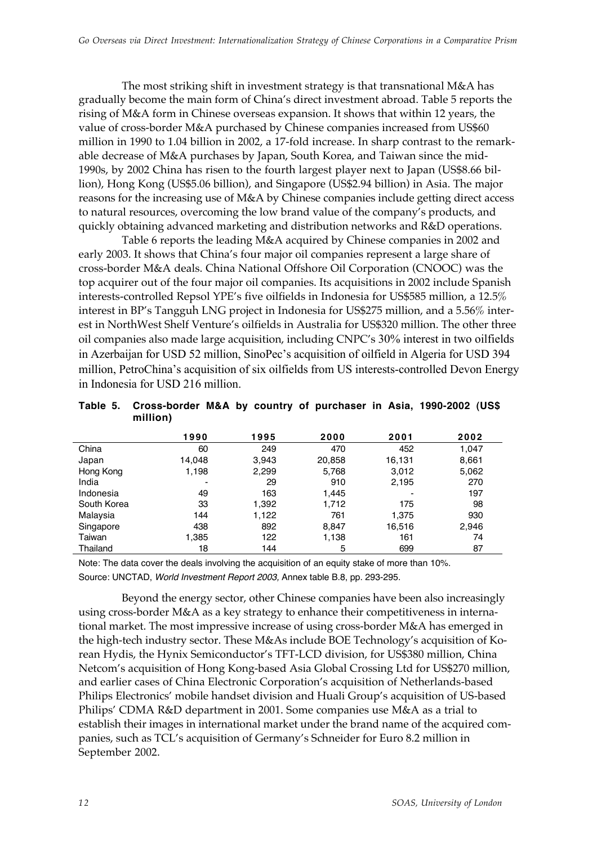The most striking shift in investment strategy is that transnational M&A has gradually become the main form of China's direct investment abroad. Table 5 reports the rising of M&A form in Chinese overseas expansion. It shows that within 12 years, the value of cross-border M&A purchased by Chinese companies increased from US\$60 million in 1990 to 1.04 billion in 2002, a 17-fold increase. In sharp contrast to the remarkable decrease of M&A purchases by Japan, South Korea, and Taiwan since the mid-1990s, by 2002 China has risen to the fourth largest player next to Japan (US\$8.66 billion), Hong Kong (US\$5.06 billion), and Singapore (US\$2.94 billion) in Asia. The major reasons for the increasing use of M&A by Chinese companies include getting direct access to natural resources, overcoming the low brand value of the company's products, and quickly obtaining advanced marketing and distribution networks and R&D operations.

Table 6 reports the leading M&A acquired by Chinese companies in 2002 and early 2003. It shows that China's four major oil companies represent a large share of cross-border M&A deals. China National Offshore Oil Corporation (CNOOC) was the top acquirer out of the four major oil companies. Its acquisitions in 2002 include Spanish interests-controlled Repsol YPE's five oilfields in Indonesia for US\$585 million, a 12.5% interest in BP's Tangguh LNG project in Indonesia for US\$275 million, and a 5.56% interest in NorthWest Shelf Venture's oilfields in Australia for US\$320 million. The other three oil companies also made large acquisition, including CNPC's 30% interest in two oilfields in Azerbaijan for USD 52 million, SinoPec's acquisition of oilfield in Algeria for USD 394 million, PetroChina's acquisition of six oilfields from US interests-controlled Devon Energy in Indonesia for USD 216 million.

**Table 5. Cross-border M&A by country of purchaser in Asia, 1990-2002 (US\$ million)**

|             | 1990   | 1995  | 2000   | 2001   | 2002  |
|-------------|--------|-------|--------|--------|-------|
| China       | 60     | 249   | 470    | 452    | 1,047 |
| Japan       | 14,048 | 3,943 | 20,858 | 16,131 | 8,661 |
| Hong Kong   | 1,198  | 2,299 | 5,768  | 3,012  | 5,062 |
| India       | -      | 29    | 910    | 2,195  | 270   |
| Indonesia   | 49     | 163   | 1,445  |        | 197   |
| South Korea | 33     | 1,392 | 1,712  | 175    | 98    |
| Malaysia    | 144    | 1,122 | 761    | 1,375  | 930   |
| Singapore   | 438    | 892   | 8,847  | 16,516 | 2,946 |
| Taiwan      | 1,385  | 122   | 1,138  | 161    | 74    |
| Thailand    | 18     | 144   | 5      | 699    | 87    |

Note: The data cover the deals involving the acquisition of an equity stake of more than 10%. Source: UNCTAD, World Investment Report 2003, Annex table B.8, pp. 293-295.

Beyond the energy sector, other Chinese companies have been also increasingly using cross-border M&A as a key strategy to enhance their competitiveness in international market. The most impressive increase of using cross-border M&A has emerged in the high-tech industry sector. These M&As include BOE Technology's acquisition of Korean Hydis, the Hynix Semiconductor's TFT-LCD division, for US\$380 million, China Netcom's acquisition of Hong Kong-based Asia Global Crossing Ltd for US\$270 million, and earlier cases of China Electronic Corporation's acquisition of Netherlands-based Philips Electronics' mobile handset division and Huali Group's acquisition of US-based Philips' CDMA R&D department in 2001. Some companies use M&A as a trial to establish their images in international market under the brand name of the acquired companies, such as TCL's acquisition of Germany's Schneider for Euro 8.2 million in September 2002.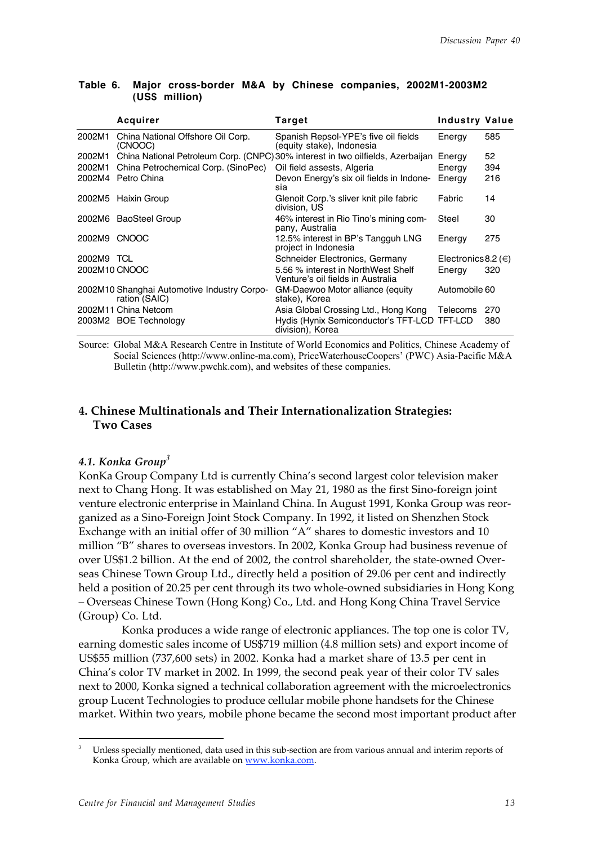|               | Acquirer                                                     | Target                                                                                 | <b>Industry Value</b>     |     |
|---------------|--------------------------------------------------------------|----------------------------------------------------------------------------------------|---------------------------|-----|
| 2002M1        | China National Offshore Oil Corp.<br>(CNOOC)                 | Spanish Repsol-YPE's five oil fields<br>(equity stake), Indonesia                      | Energy                    | 585 |
| 2002M1        |                                                              | China National Petroleum Corp. (CNPC) 30% interest in two oilfields, Azerbaijan Energy |                           | 52  |
| 2002M1        | China Petrochemical Corp. (SinoPec)                          | Oil field assests, Algeria                                                             | Energy                    | 394 |
| 2002M4        | Petro China                                                  | Devon Energy's six oil fields in Indone-<br>sia                                        | Energy                    | 216 |
| 2002M5        | Haixin Group                                                 | Glenoit Corp.'s sliver knit pile fabric<br>division, US                                | Fabric                    | 14  |
| 2002M6        | <b>BaoSteel Group</b>                                        | 46% interest in Rio Tino's mining com-<br>pany, Australia                              | Steel                     | 30  |
| 2002M9        | <b>CNOOC</b>                                                 | 12.5% interest in BP's Tangguh LNG<br>project in Indonesia                             | Energy                    | 275 |
| 2002M9        | TCL                                                          | Schneider Electronics, Germany                                                         | Electronics 8.2 ( $\in$ ) |     |
| 2002M10 CNOOC |                                                              | 5.56 % interest in NorthWest Shelf<br>Venture's oil fields in Australia                | Energy                    | 320 |
|               | 2002M10 Shanghai Automotive Industry Corpo-<br>ration (SAIC) | GM-Daewoo Motor alliance (equity<br>stake), Korea                                      | Automobile 60             |     |
|               | 2002M11 China Netcom                                         | Asia Global Crossing Ltd., Hong Kong                                                   | <b>Telecoms</b>           | 270 |
|               | 2003M2 BOE Technology                                        | Hydis (Hynix Semiconductor's TFT-LCD TFT-LCD<br>division), Korea                       |                           | 380 |

#### **Table 6. Major cross-border M&A by Chinese companies, 2002M1-2003M2 (US\$ million)**

Source: Global M&A Research Centre in Institute of World Economics and Politics, Chinese Academy of Social Sciences (http://www.online-ma.com), PriceWaterhouseCoopers' (PWC) Asia-Pacific M&A Bulletin (http://www.pwchk.com), and websites of these companies.

# **4. Chinese Multinationals and Their Internationalization Strategies: Two Cases**

#### *4.1. Konka Group<sup>3</sup>*

 $\overline{a}$ 

KonKa Group Company Ltd is currently China's second largest color television maker next to Chang Hong. It was established on May 21, 1980 as the first Sino-foreign joint venture electronic enterprise in Mainland China. In August 1991, Konka Group was reorganized as a Sino-Foreign Joint Stock Company. In 1992, it listed on Shenzhen Stock Exchange with an initial offer of 30 million "A" shares to domestic investors and 10 million "B" shares to overseas investors. In 2002, Konka Group had business revenue of over US\$1.2 billion. At the end of 2002, the control shareholder, the state-owned Overseas Chinese Town Group Ltd., directly held a position of 29.06 per cent and indirectly held a position of 20.25 per cent through its two whole-owned subsidiaries in Hong Kong – Overseas Chinese Town (Hong Kong) Co., Ltd. and Hong Kong China Travel Service (Group) Co. Ltd.

Konka produces a wide range of electronic appliances. The top one is color TV, earning domestic sales income of US\$719 million (4.8 million sets) and export income of US\$55 million (737,600 sets) in 2002. Konka had a market share of 13.5 per cent in China's color TV market in 2002. In 1999, the second peak year of their color TV sales next to 2000, Konka signed a technical collaboration agreement with the microelectronics group Lucent Technologies to produce cellular mobile phone handsets for the Chinese market. Within two years, mobile phone became the second most important product after

Unless specially mentioned, data used in this sub-section are from various annual and interim reports of Konka Group, which are available on www.konka.com.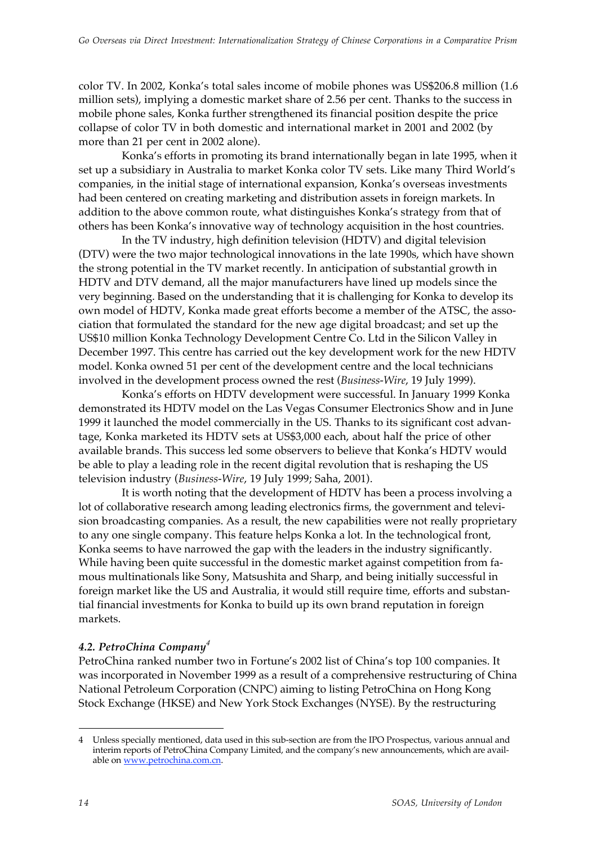color TV. In 2002, Konka's total sales income of mobile phones was US\$206.8 million (1.6 million sets), implying a domestic market share of 2.56 per cent. Thanks to the success in mobile phone sales, Konka further strengthened its financial position despite the price collapse of color TV in both domestic and international market in 2001 and 2002 (by more than 21 per cent in 2002 alone).

Konka's efforts in promoting its brand internationally began in late 1995, when it set up a subsidiary in Australia to market Konka color TV sets. Like many Third World's companies, in the initial stage of international expansion, Konka's overseas investments had been centered on creating marketing and distribution assets in foreign markets. In addition to the above common route, what distinguishes Konka's strategy from that of others has been Konka's innovative way of technology acquisition in the host countries.

In the TV industry, high definition television (HDTV) and digital television (DTV) were the two major technological innovations in the late 1990s, which have shown the strong potential in the TV market recently. In anticipation of substantial growth in HDTV and DTV demand, all the major manufacturers have lined up models since the very beginning. Based on the understanding that it is challenging for Konka to develop its own model of HDTV, Konka made great efforts become a member of the ATSC, the association that formulated the standard for the new age digital broadcast; and set up the US\$10 million Konka Technology Development Centre Co. Ltd in the Silicon Valley in December 1997. This centre has carried out the key development work for the new HDTV model. Konka owned 51 per cent of the development centre and the local technicians involved in the development process owned the rest (*Business-Wire*, 19 July 1999).

Konka's efforts on HDTV development were successful. In January 1999 Konka demonstrated its HDTV model on the Las Vegas Consumer Electronics Show and in June 1999 it launched the model commercially in the US. Thanks to its significant cost advantage, Konka marketed its HDTV sets at US\$3,000 each, about half the price of other available brands. This success led some observers to believe that Konka's HDTV would be able to play a leading role in the recent digital revolution that is reshaping the US television industry (*Business-Wire*, 19 July 1999; Saha, 2001).

It is worth noting that the development of HDTV has been a process involving a lot of collaborative research among leading electronics firms, the government and television broadcasting companies. As a result, the new capabilities were not really proprietary to any one single company. This feature helps Konka a lot. In the technological front, Konka seems to have narrowed the gap with the leaders in the industry significantly. While having been quite successful in the domestic market against competition from famous multinationals like Sony, Matsushita and Sharp, and being initially successful in foreign market like the US and Australia, it would still require time, efforts and substantial financial investments for Konka to build up its own brand reputation in foreign markets.

#### *4.2. PetroChina Company<sup>4</sup>*

PetroChina ranked number two in Fortune's 2002 list of China's top 100 companies. It was incorporated in November 1999 as a result of a comprehensive restructuring of China National Petroleum Corporation (CNPC) aiming to listing PetroChina on Hong Kong Stock Exchange (HKSE) and New York Stock Exchanges (NYSE). By the restructuring

<sup>4</sup> Unless specially mentioned, data used in this sub-section are from the IPO Prospectus, various annual and interim reports of PetroChina Company Limited, and the company's new announcements, which are available on www.petrochina.com.cn.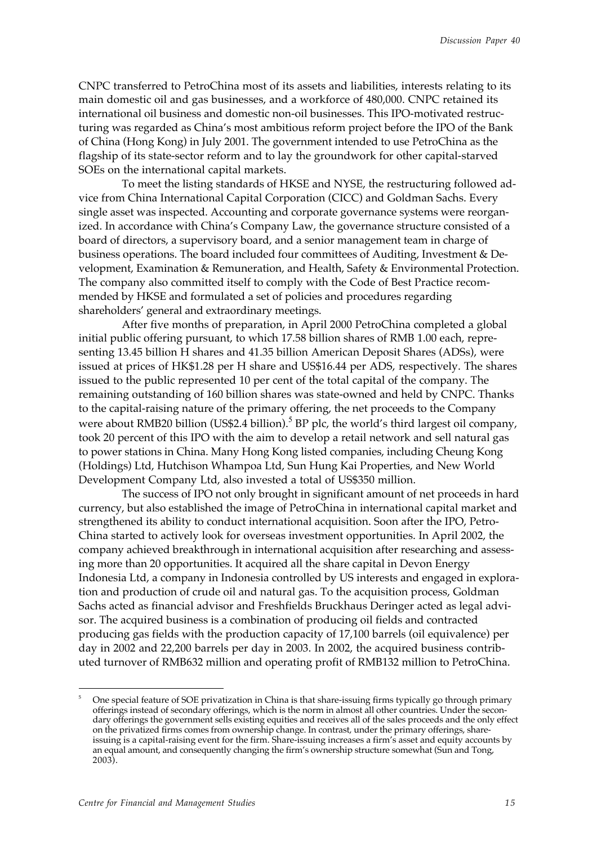CNPC transferred to PetroChina most of its assets and liabilities, interests relating to its main domestic oil and gas businesses, and a workforce of 480,000. CNPC retained its international oil business and domestic non-oil businesses. This IPO-motivated restructuring was regarded as China's most ambitious reform project before the IPO of the Bank of China (Hong Kong) in July 2001. The government intended to use PetroChina as the flagship of its state-sector reform and to lay the groundwork for other capital-starved SOEs on the international capital markets.

To meet the listing standards of HKSE and NYSE, the restructuring followed advice from China International Capital Corporation (CICC) and Goldman Sachs. Every single asset was inspected. Accounting and corporate governance systems were reorganized. In accordance with China's Company Law, the governance structure consisted of a board of directors, a supervisory board, and a senior management team in charge of business operations. The board included four committees of Auditing, Investment & Development, Examination & Remuneration, and Health, Safety & Environmental Protection. The company also committed itself to comply with the Code of Best Practice recommended by HKSE and formulated a set of policies and procedures regarding shareholders' general and extraordinary meetings.

After five months of preparation, in April 2000 PetroChina completed a global initial public offering pursuant, to which 17.58 billion shares of RMB 1.00 each, representing 13.45 billion H shares and 41.35 billion American Deposit Shares (ADSs), were issued at prices of HK\$1.28 per H share and US\$16.44 per ADS, respectively. The shares issued to the public represented 10 per cent of the total capital of the company. The remaining outstanding of 160 billion shares was state-owned and held by CNPC. Thanks to the capital-raising nature of the primary offering, the net proceeds to the Company were about RMB20 billion (US\$2.4 billion).<sup>5</sup> BP plc, the world's third largest oil company, took 20 percent of this IPO with the aim to develop a retail network and sell natural gas to power stations in China. Many Hong Kong listed companies, including Cheung Kong (Holdings) Ltd, Hutchison Whampoa Ltd, Sun Hung Kai Properties, and New World Development Company Ltd, also invested a total of US\$350 million.

The success of IPO not only brought in significant amount of net proceeds in hard currency, but also established the image of PetroChina in international capital market and strengthened its ability to conduct international acquisition. Soon after the IPO, Petro-China started to actively look for overseas investment opportunities. In April 2002, the company achieved breakthrough in international acquisition after researching and assessing more than 20 opportunities. It acquired all the share capital in Devon Energy Indonesia Ltd, a company in Indonesia controlled by US interests and engaged in exploration and production of crude oil and natural gas. To the acquisition process, Goldman Sachs acted as financial advisor and Freshfields Bruckhaus Deringer acted as legal advisor. The acquired business is a combination of producing oil fields and contracted producing gas fields with the production capacity of 17,100 barrels (oil equivalence) per day in 2002 and 22,200 barrels per day in 2003. In 2002, the acquired business contributed turnover of RMB632 million and operating profit of RMB132 million to PetroChina.

<sup>5</sup> One special feature of SOE privatization in China is that share-issuing firms typically go through primary offerings instead of secondary offerings, which is the norm in almost all other countries. Under the secondary offerings the government sells existing equities and receives all of the sales proceeds and the only effect on the privatized firms comes from ownership change. In contrast, under the primary offerings, shareissuing is a capital-raising event for the firm. Share-issuing increases a firm's asset and equity accounts by an equal amount, and consequently changing the firm's ownership structure somewhat (Sun and Tong, 2003).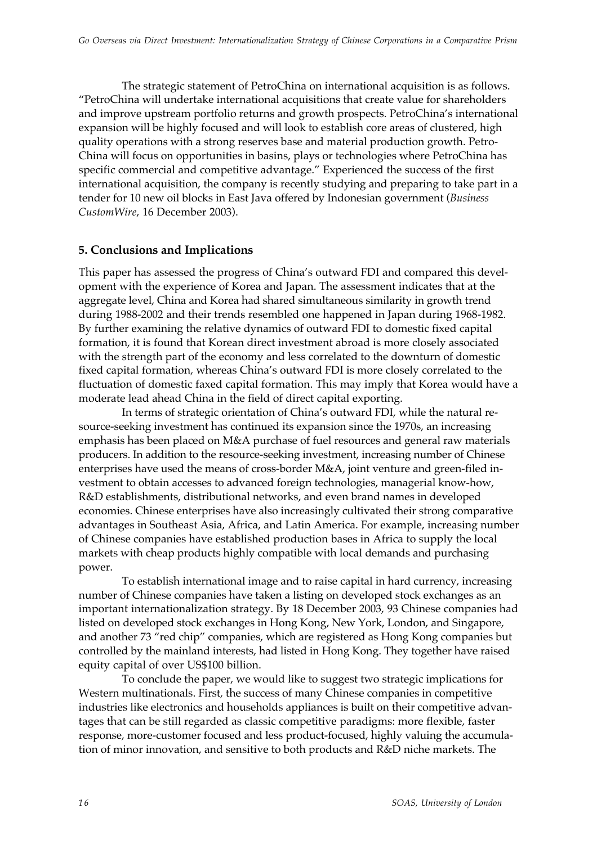The strategic statement of PetroChina on international acquisition is as follows. "PetroChina will undertake international acquisitions that create value for shareholders and improve upstream portfolio returns and growth prospects. PetroChina's international expansion will be highly focused and will look to establish core areas of clustered, high quality operations with a strong reserves base and material production growth. Petro-China will focus on opportunities in basins, plays or technologies where PetroChina has specific commercial and competitive advantage." Experienced the success of the first international acquisition, the company is recently studying and preparing to take part in a tender for 10 new oil blocks in East Java offered by Indonesian government (*Business CustomWire*, 16 December 2003).

## **5. Conclusions and Implications**

This paper has assessed the progress of China's outward FDI and compared this development with the experience of Korea and Japan. The assessment indicates that at the aggregate level, China and Korea had shared simultaneous similarity in growth trend during 1988-2002 and their trends resembled one happened in Japan during 1968-1982. By further examining the relative dynamics of outward FDI to domestic fixed capital formation, it is found that Korean direct investment abroad is more closely associated with the strength part of the economy and less correlated to the downturn of domestic fixed capital formation, whereas China's outward FDI is more closely correlated to the fluctuation of domestic faxed capital formation. This may imply that Korea would have a moderate lead ahead China in the field of direct capital exporting.

In terms of strategic orientation of China's outward FDI, while the natural resource-seeking investment has continued its expansion since the 1970s, an increasing emphasis has been placed on M&A purchase of fuel resources and general raw materials producers. In addition to the resource-seeking investment, increasing number of Chinese enterprises have used the means of cross-border M&A, joint venture and green-filed investment to obtain accesses to advanced foreign technologies, managerial know-how, R&D establishments, distributional networks, and even brand names in developed economies. Chinese enterprises have also increasingly cultivated their strong comparative advantages in Southeast Asia, Africa, and Latin America. For example, increasing number of Chinese companies have established production bases in Africa to supply the local markets with cheap products highly compatible with local demands and purchasing power.

To establish international image and to raise capital in hard currency, increasing number of Chinese companies have taken a listing on developed stock exchanges as an important internationalization strategy. By 18 December 2003, 93 Chinese companies had listed on developed stock exchanges in Hong Kong, New York, London, and Singapore, and another 73 "red chip" companies, which are registered as Hong Kong companies but controlled by the mainland interests, had listed in Hong Kong. They together have raised equity capital of over US\$100 billion.

To conclude the paper, we would like to suggest two strategic implications for Western multinationals. First, the success of many Chinese companies in competitive industries like electronics and households appliances is built on their competitive advantages that can be still regarded as classic competitive paradigms: more flexible, faster response, more-customer focused and less product-focused, highly valuing the accumulation of minor innovation, and sensitive to both products and R&D niche markets. The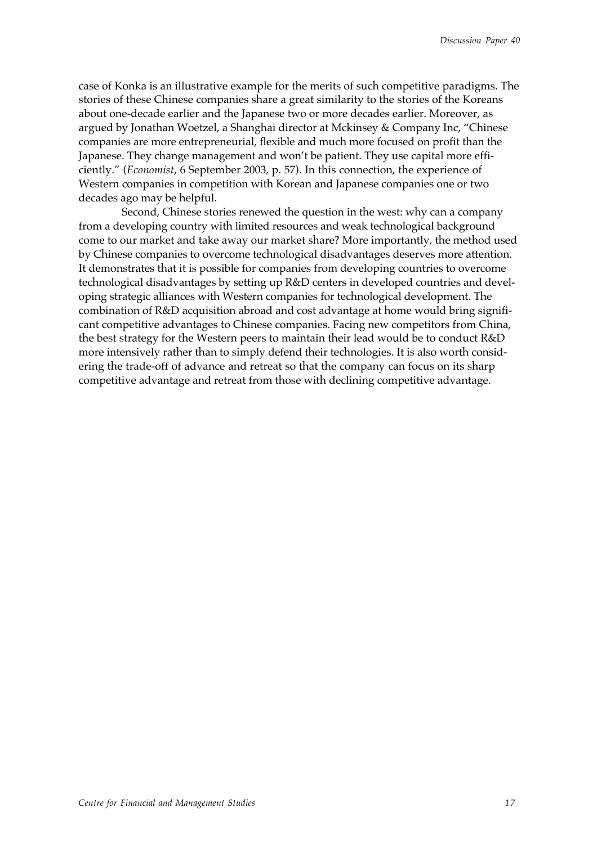case of Konka is an illustrative example for the merits of such competitive paradigms. The stories of these Chinese companies share a great similarity to the stories of the Koreans about one-decade earlier and the Japanese two or more decades earlier. Moreover, as argued by Jonathan Woetzel, a Shanghai director at Mckinsey & Company Inc, "Chinese companies are more entrepreneurial, flexible and much more focused on profit than the Japanese. They change management and won't be patient. They use capital more efficiently." (*Economist*, 6 September 2003, p. 57). In this connection, the experience of Western companies in competition with Korean and Japanese companies one or two decades ago may be helpful.

Second, Chinese stories renewed the question in the west: why can a company from a developing country with limited resources and weak technological background come to our market and take away our market share? More importantly, the method used by Chinese companies to overcome technological disadvantages deserves more attention. It demonstrates that it is possible for companies from developing countries to overcome technological disadvantages by setting up R&D centers in developed countries and developing strategic alliances with Western companies for technological development. The combination of R&D acquisition abroad and cost advantage at home would bring significant competitive advantages to Chinese companies. Facing new competitors from China, the best strategy for the Western peers to maintain their lead would be to conduct R&D more intensively rather than to simply defend their technologies. It is also worth considering the trade-off of advance and retreat so that the company can focus on its sharp competitive advantage and retreat from those with declining competitive advantage.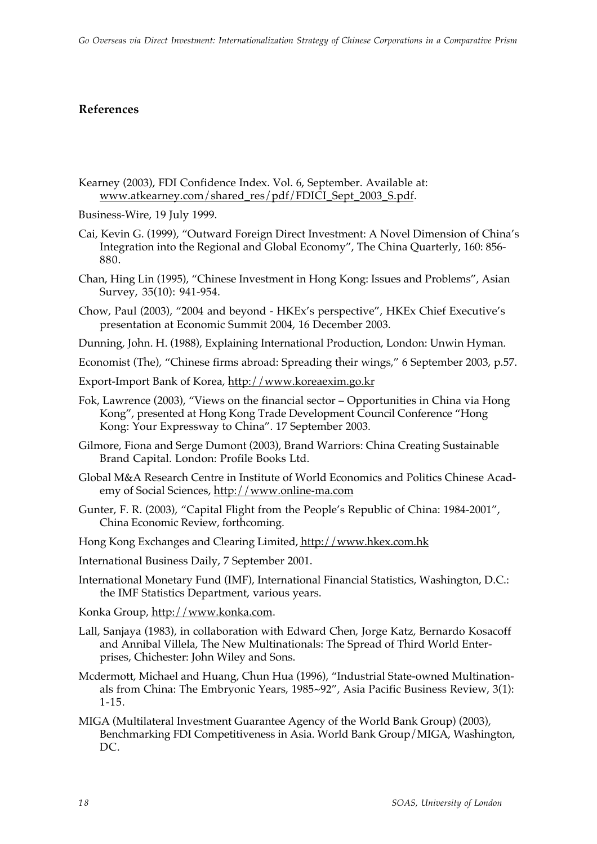#### **References**

- Kearney (2003), FDI Confidence Index. Vol. 6, September. Available at: www.atkearney.com/shared\_res/pdf/FDICI\_Sept\_2003\_S.pdf.
- Business-Wire, 19 July 1999.
- Cai, Kevin G. (1999), "Outward Foreign Direct Investment: A Novel Dimension of China's Integration into the Regional and Global Economy", The China Quarterly, 160: 856- 880.
- Chan, Hing Lin (1995), "Chinese Investment in Hong Kong: Issues and Problems", Asian Survey, 35(10): 941-954.
- Chow, Paul (2003), "2004 and beyond HKEx's perspective", HKEx Chief Executive's presentation at Economic Summit 2004, 16 December 2003.
- Dunning, John. H. (1988), Explaining International Production, London: Unwin Hyman.
- Economist (The), "Chinese firms abroad: Spreading their wings," 6 September 2003, p.57.
- Export-Import Bank of Korea, http://www.koreaexim.go.kr
- Fok, Lawrence (2003), "Views on the financial sector Opportunities in China via Hong Kong", presented at Hong Kong Trade Development Council Conference "Hong Kong: Your Expressway to China". 17 September 2003.
- Gilmore, Fiona and Serge Dumont (2003), Brand Warriors: China Creating Sustainable Brand Capital. London: Profile Books Ltd.
- Global M&A Research Centre in Institute of World Economics and Politics Chinese Academy of Social Sciences, http://www.online-ma.com
- Gunter, F. R. (2003), "Capital Flight from the People's Republic of China: 1984-2001", China Economic Review, forthcoming.
- Hong Kong Exchanges and Clearing Limited, http://www.hkex.com.hk
- International Business Daily, 7 September 2001.
- International Monetary Fund (IMF), International Financial Statistics, Washington, D.C.: the IMF Statistics Department, various years.
- Konka Group, http://www.konka.com.
- Lall, Sanjaya (1983), in collaboration with Edward Chen, Jorge Katz, Bernardo Kosacoff and Annibal Villela, The New Multinationals: The Spread of Third World Enterprises, Chichester: John Wiley and Sons.
- Mcdermott, Michael and Huang, Chun Hua (1996), "Industrial State-owned Multinationals from China: The Embryonic Years, 1985~92", Asia Pacific Business Review, 3(1): 1-15.
- MIGA (Multilateral Investment Guarantee Agency of the World Bank Group) (2003), Benchmarking FDI Competitiveness in Asia. World Bank Group/MIGA, Washington, DC.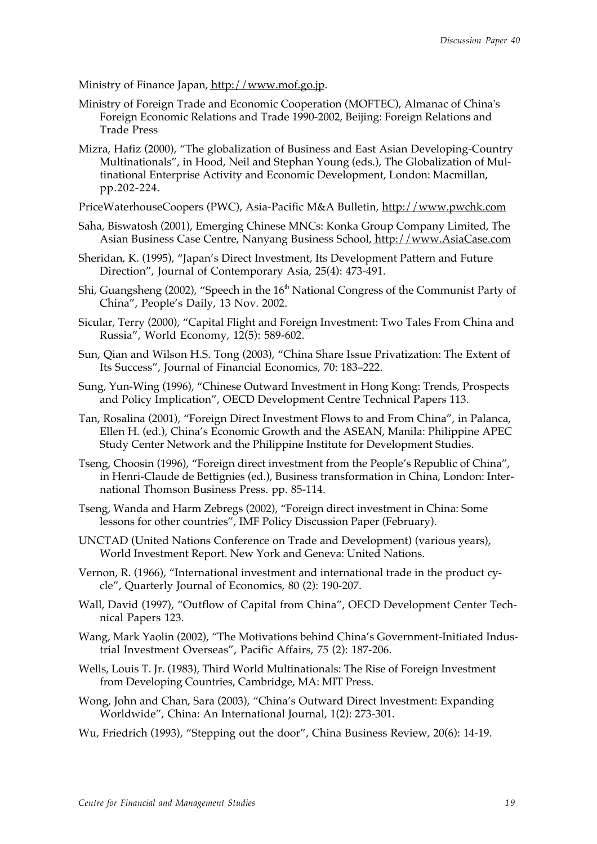Ministry of Finance Japan, http://www.mof.go.jp.

- Ministry of Foreign Trade and Economic Cooperation (MOFTEC), Almanac of China's Foreign Economic Relations and Trade 1990-2002, Beijing: Foreign Relations and Trade Press
- Mizra, Hafiz (2000), "The globalization of Business and East Asian Developing-Country Multinationals", in Hood, Neil and Stephan Young (eds.), The Globalization of Multinational Enterprise Activity and Economic Development, London: Macmillan, pp.202-224.
- PriceWaterhouseCoopers (PWC), Asia-Pacific M&A Bulletin, http://www.pwchk.com
- Saha, Biswatosh (2001), Emerging Chinese MNCs: Konka Group Company Limited, The Asian Business Case Centre, Nanyang Business School, http://www.AsiaCase.com
- Sheridan, K. (1995), "Japan's Direct Investment, Its Development Pattern and Future Direction", Journal of Contemporary Asia, 25(4): 473-491.
- Shi, Guangsheng (2002), "Speech in the  $16<sup>th</sup>$  National Congress of the Communist Party of China", People's Daily, 13 Nov. 2002.
- Sicular, Terry (2000), "Capital Flight and Foreign Investment: Two Tales From China and Russia", World Economy, 12(5): 589-602.
- Sun, Qian and Wilson H.S. Tong (2003), "China Share Issue Privatization: The Extent of Its Success", Journal of Financial Economics, 70: 183–222.
- Sung, Yun-Wing (1996), "Chinese Outward Investment in Hong Kong: Trends, Prospects and Policy Implication", OECD Development Centre Technical Papers 113.
- Tan, Rosalina (2001), "Foreign Direct Investment Flows to and From China", in Palanca, Ellen H. (ed.), China's Economic Growth and the ASEAN, Manila: Philippine APEC Study Center Network and the Philippine Institute for Development Studies.
- Tseng, Choosin (1996), "Foreign direct investment from the People's Republic of China", in Henri-Claude de Bettignies (ed.), Business transformation in China, London: International Thomson Business Press. pp. 85-114.
- Tseng, Wanda and Harm Zebregs (2002), "Foreign direct investment in China: Some lessons for other countries", IMF Policy Discussion Paper (February).
- UNCTAD (United Nations Conference on Trade and Development) (various years), World Investment Report. New York and Geneva: United Nations.
- Vernon, R. (1966), "International investment and international trade in the product cycle", Quarterly Journal of Economics, 80 (2): 190-207.
- Wall, David (1997), "Outflow of Capital from China", OECD Development Center Technical Papers 123.
- Wang, Mark Yaolin (2002), "The Motivations behind China's Government-Initiated Industrial Investment Overseas", Pacific Affairs, 75 (2): 187-206.
- Wells, Louis T. Jr. (1983), Third World Multinationals: The Rise of Foreign Investment from Developing Countries, Cambridge, MA: MIT Press.
- Wong, John and Chan, Sara (2003), "China's Outward Direct Investment: Expanding Worldwide", China: An International Journal, 1(2): 273-301.
- Wu, Friedrich (1993), "Stepping out the door", China Business Review, 20(6): 14-19.